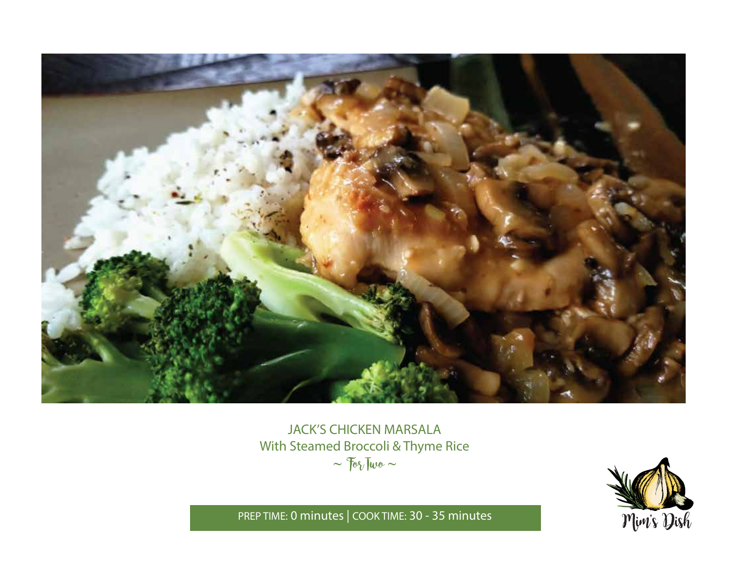

# JACK'S CHICKEN MARSALA With Steamed Broccoli & Thyme Rice  $\sim$   $70\%$  Two  $\sim$



PREP TIME: **0 minutes** | COOK TIME: **30 - 35 minutes**